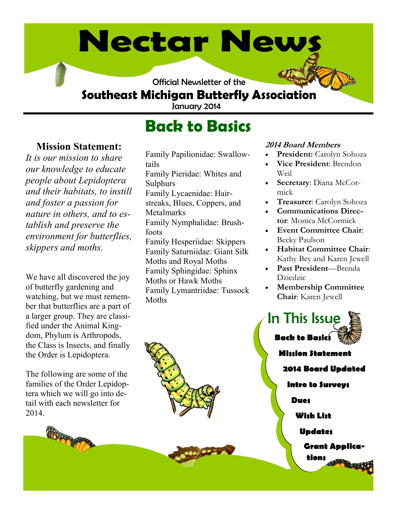# **Nectar News**

Official Newsletter of the

## **Southeast Michigan Butterfly Association**

January 2014

# **Back to Basics**

### **Mission Statement:**

*It is our mission to share our knowledge to educate people about Lepidoptera and their habitats, to instill and foster a passion for nature in others, and to establish and preserve the environment for butterflies, skippers and moths.* 

We have all discovered the joy of butterfly gardening and watching, but we must remember that butterflies are a part of a larger group. They are classified under the Animal Kingdom, Phylum is Arthropods, the Class is Insects, and finally the Order is Lepidoptera.

The following are some of the families of the Order Lepidoptera which we will go into detail with each newsletter for 2014.

Family Papilionidae: Swallowtails Family Pieridae: Whites and Sulphurs Family Lycaenidae: Hairstreaks, Blues, Coppers, and Metalmarks Family Nymphalidae: Brushfoots Family Hesperiidae: Skippers Family Saturniidae: Giant Silk Moths and Royal Moths Family Sphingidae: Sphinx Moths or Hawk Moths Family Lymantriidae: Tussock **Moths** 

#### **2014 Board Members**

- **President:** Carolyn Sohoza
- **Vice President**: Brendon Weil
- **Secretary**: Diana McCormick
- **Treasurer**: Carolyn Sohoza
- **Communications Director**: Monica McCormick
- **Event Committee Chair**: Becky Paulson
- **Habitat Committee Chair**: Kathy Bey and Karen Jewell
- **Past President**—Brenda Dziedzic
- **Membership Committee Chair**: Karen Jewell



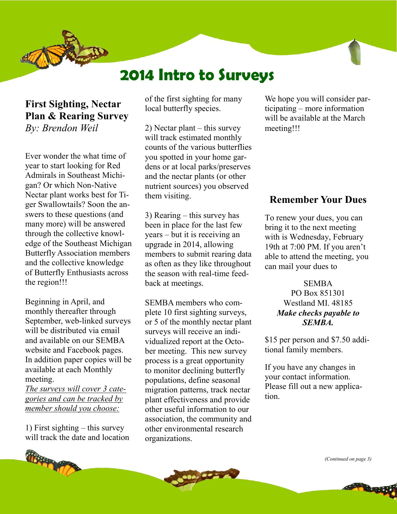



## **2014 Intro to Surveys**

#### **First Sighting, Nectar Plan & Rearing Survey**  *By: Brendon Weil*

Ever wonder the what time of year to start looking for Red Admirals in Southeast Michigan? Or which Non-Native Nectar plant works best for Tiger Swallowtails? Soon the answers to these questions (and many more) will be answered through the collective knowledge of the Southeast Michigan Butterfly Association members and the collective knowledge of Butterfly Enthusiasts across the region!!!

Beginning in April, and monthly thereafter through September, web-linked surveys will be distributed via email and available on our SEMBA website and Facebook pages. In addition paper copies will be available at each Monthly meeting.

*The surveys will cover 3 categories and can be tracked by member should you choose:*

1) First sighting – this survey will track the date and location



of the first sighting for many local butterfly species.

2) Nectar plant – this survey will track estimated monthly counts of the various butterflies you spotted in your home gardens or at local parks/preserves and the nectar plants (or other nutrient sources) you observed them visiting.

3) Rearing – this survey has been in place for the last few years – but it is receiving an upgrade in 2014, allowing members to submit rearing data as often as they like throughout the season with real-time feedback at meetings.

SEMBA members who complete 10 first sighting surveys, or 5 of the monthly nectar plant surveys will receive an individualized report at the October meeting. This new survey process is a great opportunity to monitor declining butterfly populations, define seasonal migration patterns, track nectar plant effectiveness and provide other useful information to our association, the community and other environmental research organizations.

We hope you will consider participating – more information will be available at the March meeting!!!

#### **Remember Your Dues**

To renew your dues, you can bring it to the next meeting with is Wednesday, February 19th at 7:00 PM. If you aren't able to attend the meeting, you can mail your dues to

> **SEMBA** PO Box 851301 Westland MI. 48185 *Make checks payable to SEMBA.*

\$15 per person and \$7.50 additional family members.

If you have any changes in your contact information. Please fill out a new application.

*(Continued on page 3)*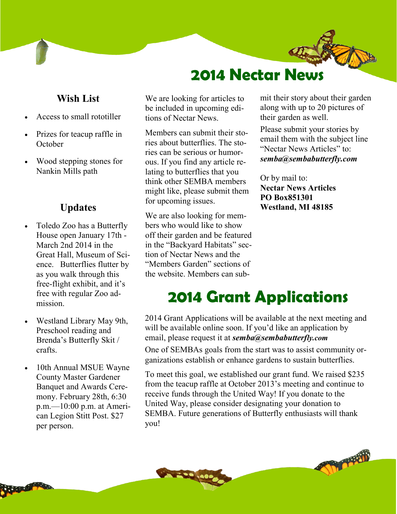

#### **Wish List**

- Access to small rototiller
- Prizes for teacup raffle in **October**
- Wood stepping stones for Nankin Mills path

#### **Updates**

- Toledo Zoo has a Butterfly House open January 17th - March 2nd 2014 in the Great Hall, Museum of Science. Butterflies flutter by as you walk through this free-flight exhibit, and it's free with regular Zoo admission.
- Westland Library May 9th, Preschool reading and Brenda's Butterfly Skit / crafts.
- 10th Annual MSUE Wayne County Master Gardener Banquet and Awards Ceremony. February 28th, 6:30 p.m.—10:00 p.m. at American Legion Stitt Post. \$27 per person.

We are looking for articles to be included in upcoming editions of Nectar News.

Members can submit their stories about butterflies. The stories can be serious or humorous. If you find any article relating to butterflies that you think other SEMBA members might like, please submit them for upcoming issues.

We are also looking for members who would like to show off their garden and be featured in the "Backyard Habitats" section of Nectar News and the "Members Garden" sections of the website. Members can submit their story about their garden along with up to 20 pictures of their garden as well.

Please submit your stories by email them with the subject line "Nectar News Articles" to: *semba@sembabutterfly.com*

Or by mail to: **Nectar News Articles PO Box851301 Westland, MI 48185**

# **2014 Grant Applications**

2014 Grant Applications will be available at the next meeting and will be available online soon. If you'd like an application by email, please request it at *semba@sembabutterfly.com*

One of SEMBAs goals from the start was to assist community organizations establish or enhance gardens to sustain butterflies.

To meet this goal, we established our grant fund. We raised \$235 from the teacup raffle at October 2013's meeting and continue to receive funds through the United Way! If you donate to the United Way, please consider designating your donation to SEMBA. Future generations of Butterfly enthusiasts will thank you!